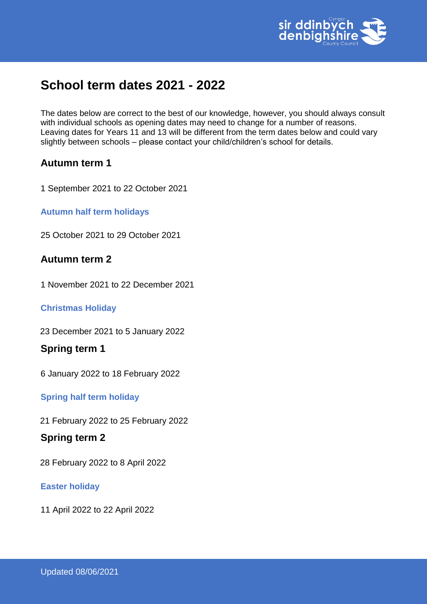

# **School term dates 2021 - 2022**

The dates below are correct to the best of our knowledge, however, you should always consult with individual schools as opening dates may need to change for a number of reasons. Leaving dates for Years 11 and 13 will be different from the term dates below and could vary slightly between schools – please contact your child/children's school for details.

# **Autumn term 1**

1 September 2021 to 22 October 2021

**Autumn half term holidays** 

25 October 2021 to 29 October 2021

# **Autumn term 2**

1 November 2021 to 22 December 2021

### **Christmas Holiday**

23 December 2021 to 5 January 2022

# **Spring term 1**

6 January 2022 to 18 February 2022

**Spring half term holiday** 

21 February 2022 to 25 February 2022

# **Spring term 2**

28 February 2022 to 8 April 2022

### **Easter holiday**

11 April 2022 to 22 April 2022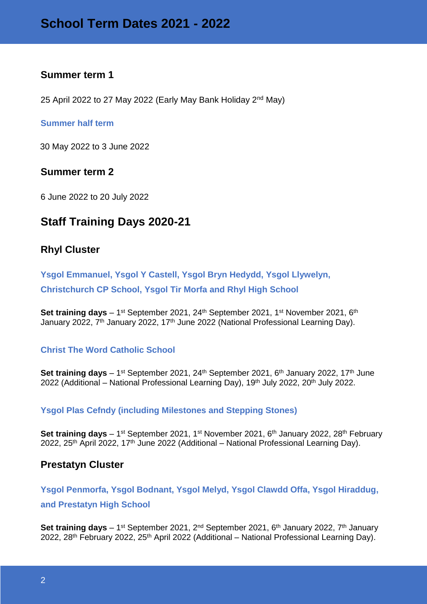# **Summer term 1**

25 April 2022 to 27 May 2022 (Early May Bank Holiday 2<sup>nd</sup> May)

#### **Summer half term**

30 May 2022 to 3 June 2022

### **Summer term 2**

6 June 2022 to 20 July 2022

# **Staff Training Days 2020-21**

### **Rhyl Cluster**

**Ysgol Emmanuel, Ysgol Y Castell, Ysgol Bryn Hedydd, Ysgol Llywelyn, Christchurch CP School, Ysgol Tir Morfa and Rhyl High School** 

**Set training days** – 1<sup>st</sup> September 2021, 24<sup>th</sup> September 2021, 1<sup>st</sup> November 2021, 6<sup>th</sup> January 2022, 7<sup>th</sup> January 2022, 17<sup>th</sup> June 2022 (National Professional Learning Day).

### **Christ The Word Catholic School**

**Set training days** – 1<sup>st</sup> September 2021, 24<sup>th</sup> September 2021, 6<sup>th</sup> January 2022, 17<sup>th</sup> June 2022 (Additional – National Professional Learning Day), 19<sup>th</sup> July 2022, 20<sup>th</sup> July 2022.

#### **Ysgol Plas Cefndy (including Milestones and Stepping Stones)**

**Set training days** – 1<sup>st</sup> September 2021, 1<sup>st</sup> November 2021, 6<sup>th</sup> January 2022, 28<sup>th</sup> February 2022, 25<sup>th</sup> April 2022, 17<sup>th</sup> June 2022 (Additional – National Professional Learning Day).

### **Prestatyn Cluster**

**Ysgol Penmorfa, Ysgol Bodnant, Ysgol Melyd, Ysgol Clawdd Offa, Ysgol Hiraddug, and Prestatyn High School**

Set training days – 1<sup>st</sup> September 2021, 2<sup>nd</sup> September 2021, 6<sup>th</sup> January 2022, 7<sup>th</sup> January 2022, 28<sup>th</sup> February 2022, 25<sup>th</sup> April 2022 (Additional – National Professional Learning Day).